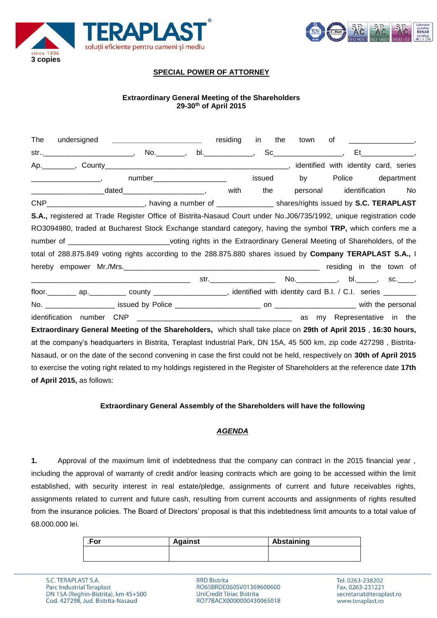



# **SPECIAL POWER OF ATTORNEY**

## **Extraordinary General Meeting of the Shareholders 29-30th of April 2015**

| The                                                                                                                                                                                                                                        | undersigned __________________________                                                                                    | residing | in<br>the | town                    |                   |    |
|--------------------------------------------------------------------------------------------------------------------------------------------------------------------------------------------------------------------------------------------|---------------------------------------------------------------------------------------------------------------------------|----------|-----------|-------------------------|-------------------|----|
|                                                                                                                                                                                                                                            | str___________________________,  No._________,  bl._______________,                                                       |          |           |                         |                   |    |
|                                                                                                                                                                                                                                            |                                                                                                                           |          |           |                         |                   |    |
| $\overline{\phantom{a}}$ , and the contract of the contract of the contract of the contract of the contract of the contract of the contract of the contract of the contract of the contract of the contract of the contract of the contrac | number_______________________                                                                                             |          | issued    | by                      | Police department |    |
|                                                                                                                                                                                                                                            |                                                                                                                           | with     | the       | personal identification |                   | No |
|                                                                                                                                                                                                                                            | CNP___________________________, having a number of ________________ shares/rights issued by S.C. TERAPLAST                |          |           |                         |                   |    |
|                                                                                                                                                                                                                                            | S.A., registered at Trade Register Office of Bistrita-Nasaud Court under No.J06/735/1992, unique registration code        |          |           |                         |                   |    |
|                                                                                                                                                                                                                                            | RO3094980, traded at Bucharest Stock Exchange standard category, having the symbol TRP, which confers me a                |          |           |                         |                   |    |
|                                                                                                                                                                                                                                            | number of _____________________________voting rights in the Extraordinary General Meeting of Shareholders, of the         |          |           |                         |                   |    |
|                                                                                                                                                                                                                                            | total of 288.875.849 voting rights according to the 288.875.880 shares issued by Company TERAPLAST S.A., I                |          |           |                         |                   |    |
|                                                                                                                                                                                                                                            |                                                                                                                           |          |           |                         |                   |    |
|                                                                                                                                                                                                                                            |                                                                                                                           |          |           |                         |                   |    |
|                                                                                                                                                                                                                                            |                                                                                                                           |          |           |                         |                   |    |
|                                                                                                                                                                                                                                            |                                                                                                                           |          |           |                         |                   |    |
|                                                                                                                                                                                                                                            |                                                                                                                           |          |           |                         |                   |    |
|                                                                                                                                                                                                                                            | Extraordinary General Meeting of the Shareholders, which shall take place on 29th of April 2015, 16:30 hours,             |          |           |                         |                   |    |
|                                                                                                                                                                                                                                            | at the company's headquarters in Bistrita, Teraplast Industrial Park, DN 15A, 45 500 km, zip code 427298, Bistrita-       |          |           |                         |                   |    |
|                                                                                                                                                                                                                                            | Nasaud, or on the date of the second convening in case the first could not be held, respectively on 30th of April 2015    |          |           |                         |                   |    |
|                                                                                                                                                                                                                                            | to exercise the voting right related to my holdings registered in the Register of Shareholders at the reference date 17th |          |           |                         |                   |    |
| of April 2015, as follows:                                                                                                                                                                                                                 |                                                                                                                           |          |           |                         |                   |    |

#### **Extraordinary General Assembly of the Shareholders will have the following**

### *AGENDA*

**1.** Approval of the maximum limit of indebtedness that the company can contract in the 2015 financial year , including the approval of warranty of credit and/or leasing contracts which are going to be accessed within the limit established, with security interest in real estate/pledge, assignments of current and future receivables rights, assignments related to current and future cash, resulting from current accounts and assignments of rights resulted from the insurance policies. The Board of Directors' proposal is that this indebtedness limit amounts to a total value of 68.000.000 lei.

| .For | <b>Against</b> | Abstaining |
|------|----------------|------------|
|      |                |            |
|      |                |            |

**BRD Bistrita** RO65BRDE060SV01369600600 UniCredit Tiriac Bistrita RO77BACX0000000430065018

Tel. 0263-238202 Fax. 0263-231221 secretariat@teraplast.ro www.teraplast.ro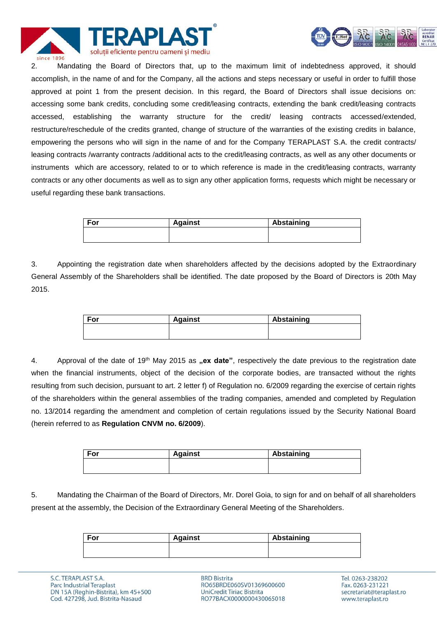



2. Mandating the Board of Directors that, up to the maximum limit of indebtedness approved, it should accomplish, in the name of and for the Company, all the actions and steps necessary or useful in order to fulfill those approved at point 1 from the present decision. In this regard, the Board of Directors shall issue decisions on: accessing some bank credits, concluding some credit/leasing contracts, extending the bank credit/leasing contracts accessed, establishing the warranty structure for the credit/ leasing contracts accessed/extended, restructure/reschedule of the credits granted, change of structure of the warranties of the existing credits in balance, empowering the persons who will sign in the name of and for the Company TERAPLAST S.A. the credit contracts/ leasing contracts /warranty contracts /additional acts to the credit/leasing contracts, as well as any other documents or instruments which are accessory, related to or to which reference is made in the credit/leasing contracts, warranty contracts or any other documents as well as to sign any other application forms, requests which might be necessary or useful regarding these bank transactions.

| For | <b>Against</b> | Abstaining |
|-----|----------------|------------|
|     |                |            |
|     |                |            |

3. Appointing the registration date when shareholders affected by the decisions adopted by the Extraordinary General Assembly of the Shareholders shall be identified. The date proposed by the Board of Directors is 20th May 2015.

| For | <b>Against</b> | Abstaining |
|-----|----------------|------------|
|     |                |            |
|     |                |            |

4. Approval of the date of 19<sup>th</sup> May 2015 as **"ex date**", respectively the date previous to the registration date when the financial instruments, object of the decision of the corporate bodies, are transacted without the rights resulting from such decision, pursuant to art. 2 letter f) of Regulation no. 6/2009 regarding the exercise of certain rights of the shareholders within the general assemblies of the trading companies, amended and completed by Regulation no. 13/2014 regarding the amendment and completion of certain regulations issued by the Security National Board (herein referred to as **Regulation CNVM no. 6/2009**).

| For | <b>Against</b> | Abstaining |
|-----|----------------|------------|
|     |                |            |
|     |                |            |

5. Mandating the Chairman of the Board of Directors, Mr. Dorel Goia, to sign for and on behalf of all shareholders present at the assembly, the Decision of the Extraordinary General Meeting of the Shareholders.

| For | <b>Against</b> | Abstaining |
|-----|----------------|------------|
|     |                |            |
|     |                |            |

**BRD Bistrita** RO65BRDE060SV01369600600 UniCredit Tiriac Bistrita RO77BACX0000000430065018